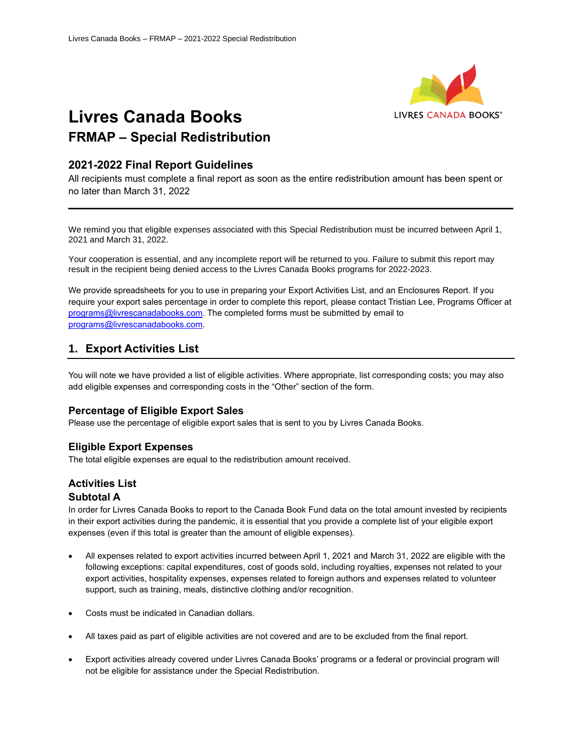

# **Livres Canada Books FRMAP – Special Redistribution**

## **2021-2022 Final Report Guidelines**

All recipients must complete a final report as soon as the entire redistribution amount has been spent or no later than March 31, 2022

We remind you that eligible expenses associated with this Special Redistribution must be incurred between April 1, 2021 and March 31, 2022.

Your cooperation is essential, and any incomplete report will be returned to you. Failure to submit this report may result in the recipient being denied access to the Livres Canada Books programs for 2022-2023.

We provide spreadsheets for you to use in preparing your Export Activities List, and an Enclosures Report. If you require your export sales percentage in order to complete this report, please contact Tristian Lee, Programs Officer at [programs@livrescanadabooks.com.](mailto:programs@livrescanadabooks.com) The completed forms must be submitted by email to [programs@livrescanadabooks.com.](mailto:programs@livrescanadabooks.com)

## **1. Export Activities List**

You will note we have provided a list of eligible activities. Where appropriate, list corresponding costs; you may also add eligible expenses and corresponding costs in the "Other" section of the form.

#### **Percentage of Eligible Export Sales**

Please use the percentage of eligible export sales that is sent to you by Livres Canada Books.

## **Eligible Export Expenses**

The total eligible expenses are equal to the redistribution amount received.

## **Activities List**

#### **Subtotal A**

In order for Livres Canada Books to report to the Canada Book Fund data on the total amount invested by recipients in their export activities during the pandemic, it is essential that you provide a complete list of your eligible export expenses (even if this total is greater than the amount of eligible expenses).

- All expenses related to export activities incurred between April 1, 2021 and March 31, 2022 are eligible with the following exceptions: capital expenditures, cost of goods sold, including royalties, expenses not related to your export activities, hospitality expenses, expenses related to foreign authors and expenses related to volunteer support, such as training, meals, distinctive clothing and/or recognition.
- Costs must be indicated in Canadian dollars.
- All taxes paid as part of eligible activities are not covered and are to be excluded from the final report.
- Export activities already covered under Livres Canada Books' programs or a federal or provincial program will not be eligible for assistance under the Special Redistribution.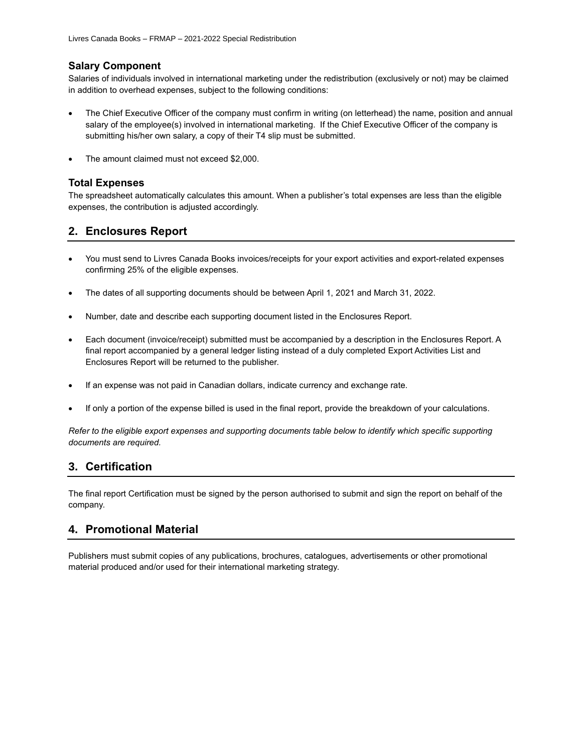### **Salary Component**

Salaries of individuals involved in international marketing under the redistribution (exclusively or not) may be claimed in addition to overhead expenses, subject to the following conditions:

- The Chief Executive Officer of the company must confirm in writing (on letterhead) the name, position and annual salary of the employee(s) involved in international marketing. If the Chief Executive Officer of the company is submitting his/her own salary, a copy of their T4 slip must be submitted.
- The amount claimed must not exceed \$2,000.

#### **Total Expenses**

The spreadsheet automatically calculates this amount. When a publisher's total expenses are less than the eligible expenses, the contribution is adjusted accordingly.

## **2. Enclosures Report**

- You must send to Livres Canada Books invoices/receipts for your export activities and export-related expenses confirming 25% of the eligible expenses.
- The dates of all supporting documents should be between April 1, 2021 and March 31, 2022.
- Number, date and describe each supporting document listed in the Enclosures Report.
- Each document (invoice/receipt) submitted must be accompanied by a description in the Enclosures Report. A final report accompanied by a general ledger listing instead of a duly completed Export Activities List and Enclosures Report will be returned to the publisher.
- If an expense was not paid in Canadian dollars, indicate currency and exchange rate.
- If only a portion of the expense billed is used in the final report, provide the breakdown of your calculations.

*Refer to the eligible export expenses and supporting documents table below to identify which specific supporting documents are required.*

## **3. Certification**

The final report Certification must be signed by the person authorised to submit and sign the report on behalf of the company.

## **4. Promotional Material**

Publishers must submit copies of any publications, brochures, catalogues, advertisements or other promotional material produced and/or used for their international marketing strategy.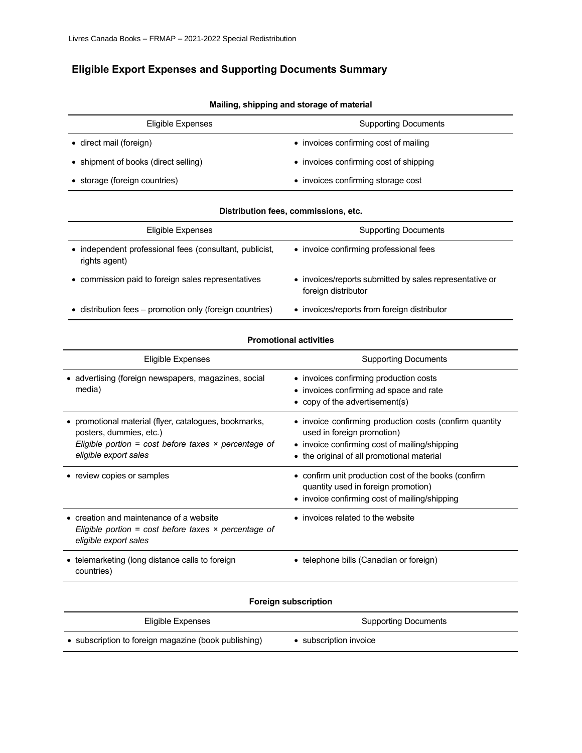## **Eligible Export Expenses and Supporting Documents Summary**

| Eligible Expenses                    | <b>Supporting Documents</b>            |
|--------------------------------------|----------------------------------------|
| • direct mail (foreign)              | • invoices confirming cost of mailing  |
| • shipment of books (direct selling) | • invoices confirming cost of shipping |
| • storage (foreign countries)        | • invoices confirming storage cost     |

#### **Mailing, shipping and storage of material**

#### **Distribution fees, commissions, etc.**

| Eligible Expenses                                                        | <b>Supporting Documents</b>                                                    |
|--------------------------------------------------------------------------|--------------------------------------------------------------------------------|
| • independent professional fees (consultant, publicist,<br>rights agent) | • invoice confirming professional fees                                         |
| • commission paid to foreign sales representatives                       | • invoices/reports submitted by sales representative or<br>foreign distributor |
| • distribution fees – promotion only (foreign countries)                 | • invoices/reports from foreign distributor                                    |

#### **Promotional activities**

| <b>Eligible Expenses</b>                                                                                                                                                 | <b>Supporting Documents</b>                                                                                                                                                          |
|--------------------------------------------------------------------------------------------------------------------------------------------------------------------------|--------------------------------------------------------------------------------------------------------------------------------------------------------------------------------------|
| • advertising (foreign newspapers, magazines, social<br>media)                                                                                                           | • invoices confirming production costs<br>• invoices confirming ad space and rate<br>• copy of the advertisement(s)                                                                  |
| • promotional material (flyer, catalogues, bookmarks,<br>posters, dummies, etc.)<br>Eligible portion = cost before taxes $\times$ percentage of<br>eligible export sales | • invoice confirming production costs (confirm quantity<br>used in foreign promotion)<br>• invoice confirming cost of mailing/shipping<br>• the original of all promotional material |
| • review copies or samples                                                                                                                                               | • confirm unit production cost of the books (confirm<br>quantity used in foreign promotion)<br>• invoice confirming cost of mailing/shipping                                         |
| $\bullet$ creation and maintenance of a website<br>Eligible portion = cost before taxes $\times$ percentage of<br>eligible export sales                                  | • invoices related to the website                                                                                                                                                    |
| • telemarketing (long distance calls to foreign<br>countries)                                                                                                            | • telephone bills (Canadian or foreign)                                                                                                                                              |
|                                                                                                                                                                          |                                                                                                                                                                                      |

### **Foreign subscription**

| Eligible Expenses                                    | Supporting Documents   |
|------------------------------------------------------|------------------------|
| • subscription to foreign magazine (book publishing) | • subscription invoice |